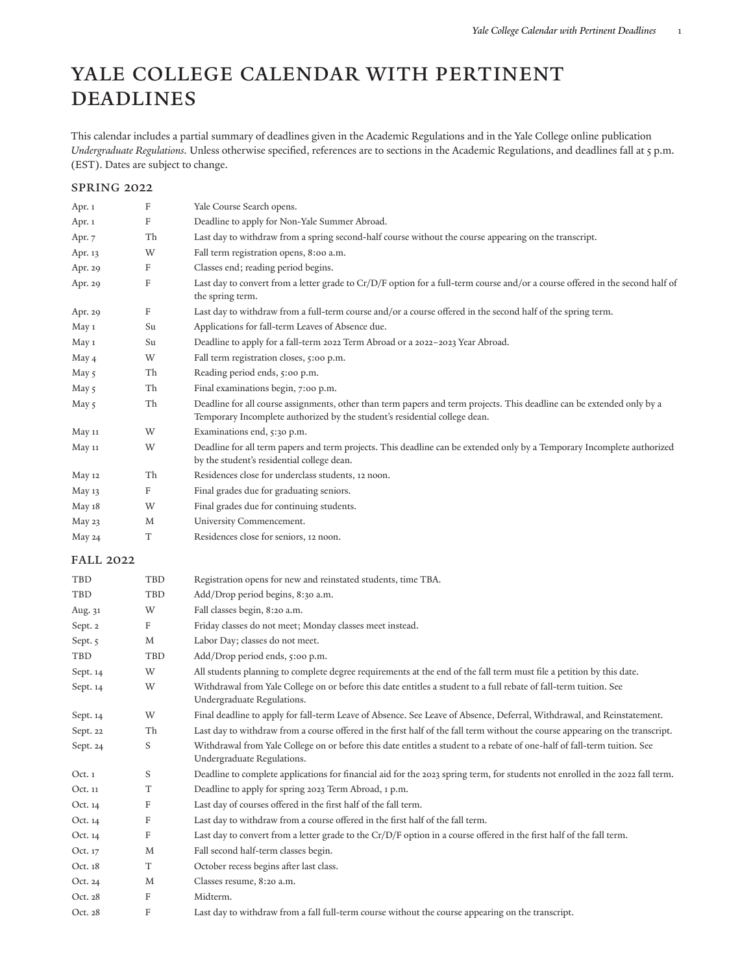# Yale College Calendar with Pertinent **DEADLINES**

This calendar includes a partial summary of deadlines given in the Academic Regulations and in the Yale College online publication *Undergraduate Regulations.* Unless otherwise specified, references are to sections in the Academic Regulations, and deadlines fall at 5 p.m. (EST). Dates are subject to change.

### Spring 2022

| Apr. 1           | F          | Yale Course Search opens.                                                                                                                                                                            |
|------------------|------------|------------------------------------------------------------------------------------------------------------------------------------------------------------------------------------------------------|
| Apr. 1           | F          | Deadline to apply for Non-Yale Summer Abroad.                                                                                                                                                        |
| Apr. $7$         | Th         | Last day to withdraw from a spring second-half course without the course appearing on the transcript.                                                                                                |
| Apr. 13          | W          | Fall term registration opens, 8:00 a.m.                                                                                                                                                              |
| Apr. 29          | F          | Classes end; reading period begins.                                                                                                                                                                  |
| Apr. 29          | F          | Last day to convert from a letter grade to Cr/D/F option for a full-term course and/or a course offered in the second half of<br>the spring term.                                                    |
| Apr. 29          | F          | Last day to withdraw from a full-term course and/or a course offered in the second half of the spring term.                                                                                          |
| May 1            | Su         | Applications for fall-term Leaves of Absence due.                                                                                                                                                    |
| May 1            | Su         | Deadline to apply for a fall-term 2022 Term Abroad or a 2022-2023 Year Abroad.                                                                                                                       |
| May 4            | W          | Fall term registration closes, 5:00 p.m.                                                                                                                                                             |
| May 5            | Th         | Reading period ends, 5:00 p.m.                                                                                                                                                                       |
| May 5            | Th         | Final examinations begin, 7:00 p.m.                                                                                                                                                                  |
| May 5            | Th         | Deadline for all course assignments, other than term papers and term projects. This deadline can be extended only by a<br>Temporary Incomplete authorized by the student's residential college dean. |
| <b>May 11</b>    | W          | Examinations end, 5:30 p.m.                                                                                                                                                                          |
| May 11           | W          | Deadline for all term papers and term projects. This deadline can be extended only by a Temporary Incomplete authorized<br>by the student's residential college dean.                                |
| <b>May 12</b>    | Th         | Residences close for underclass students, 12 noon.                                                                                                                                                   |
| May 13           | F          | Final grades due for graduating seniors.                                                                                                                                                             |
| May 18           | W          | Final grades due for continuing students.                                                                                                                                                            |
| May 23           | M          | University Commencement.                                                                                                                                                                             |
| May 24           | T          | Residences close for seniors, 12 noon.                                                                                                                                                               |
| <b>FALL 2022</b> |            |                                                                                                                                                                                                      |
| TBD              | TBD        | Registration opens for new and reinstated students, time TBA.                                                                                                                                        |
| TBD              | <b>TBD</b> | Add/Drop period begins, 8:30 a.m.                                                                                                                                                                    |
| Aug. 31          | W          | Fall classes begin, 8:20 a.m.                                                                                                                                                                        |
| Sept. 2          | F          | Friday classes do not meet; Monday classes meet instead.                                                                                                                                             |
| Sept. 5          | M          | Labor Day; classes do not meet.                                                                                                                                                                      |
| TBD              | TBD        | Add/Drop period ends, 5:00 p.m.                                                                                                                                                                      |
| Sept. 14         | W          | All students planning to complete degree requirements at the end of the fall term must file a petition by this date.                                                                                 |
| Sept. 14         | W          | Withdrawal from Yale College on or before this date entitles a student to a full rebate of fall-term tuition. See<br>Undergraduate Regulations.                                                      |
| Sept. 14         | W          | Final deadline to apply for fall-term Leave of Absence. See Leave of Absence, Deferral, Withdrawal, and Reinstatement.                                                                               |
| Sept. 22         | Th         | Last day to withdraw from a course offered in the first half of the fall term without the course appearing on the transcript.                                                                        |
| Sept. 24         | S          | Withdrawal from Yale College on or before this date entitles a student to a rebate of one-half of fall-term tuition. See<br>Undergraduate Regulations.                                               |
| Oct. 1           | S          | Deadline to complete applications for financial aid for the 2023 spring term, for students not enrolled in the 2022 fall term.                                                                       |
| Oct. 11          | T          | Deadline to apply for spring 2023 Term Abroad, 1 p.m.                                                                                                                                                |
| Oct. 14          | F          | Last day of courses offered in the first half of the fall term.                                                                                                                                      |
| Oct. 14          | F          | Last day to withdraw from a course offered in the first half of the fall term.                                                                                                                       |
| Oct. 14          | F          | Last day to convert from a letter grade to the $Cr/D/F$ option in a course offered in the first half of the fall term.                                                                               |
| Oct. 17          | M          | Fall second half-term classes begin.                                                                                                                                                                 |
| Oct. 18          | T          | October recess begins after last class.                                                                                                                                                              |
| Oct. 24          | M          | Classes resume, 8:20 a.m.                                                                                                                                                                            |
| Oct. 28          | F          | Midterm.                                                                                                                                                                                             |
| Oct. 28          | F          | Last day to withdraw from a fall full-term course without the course appearing on the transcript.                                                                                                    |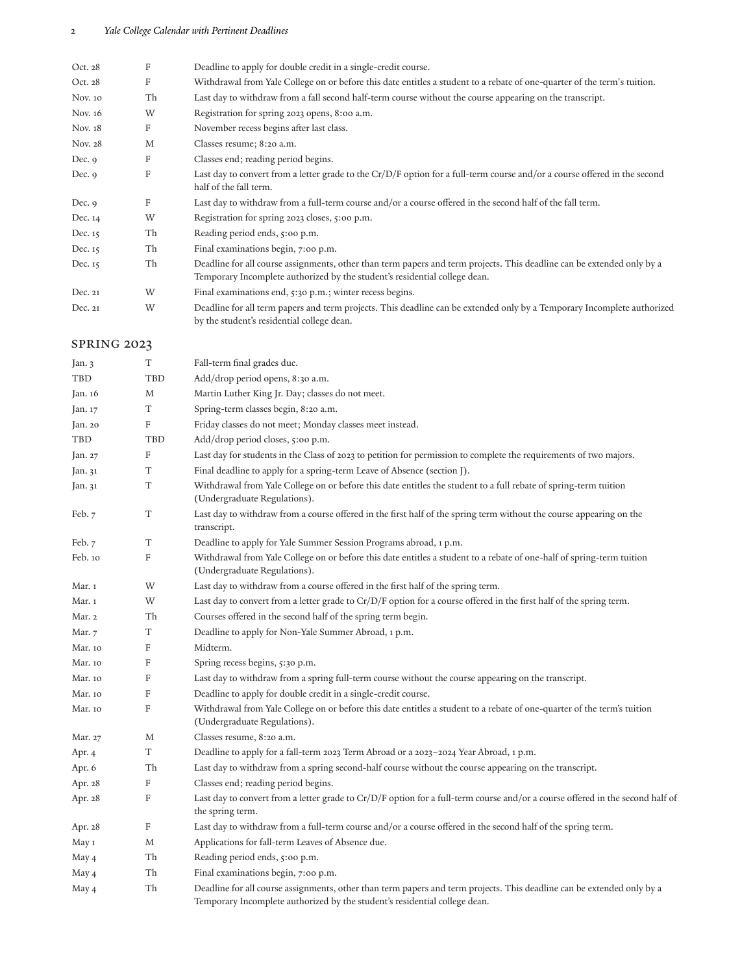## 2 *Yale College Calendar with Pertinent Deadlines*

| Oct. 28  | F  | Deadline to apply for double credit in a single-credit course.                                                                                                                                       |
|----------|----|------------------------------------------------------------------------------------------------------------------------------------------------------------------------------------------------------|
| Oct. 28  | F  | Withdrawal from Yale College on or before this date entitles a student to a rebate of one-quarter of the term's tuition.                                                                             |
| Nov. 10  | Th | Last day to withdraw from a fall second half-term course without the course appearing on the transcript.                                                                                             |
| Nov. 16  | W  | Registration for spring 2023 opens, 8:00 a.m.                                                                                                                                                        |
| Nov. 18  | F  | November recess begins after last class.                                                                                                                                                             |
| Nov. 28  | M  | Classes resume; 8:20 a.m.                                                                                                                                                                            |
| Dec. $9$ | F  | Classes end; reading period begins.                                                                                                                                                                  |
| Dec. $9$ | F  | Last day to convert from a letter grade to the $Cr/D/F$ option for a full-term course and/or a course offered in the second<br>half of the fall term.                                                |
| Dec. $9$ | F  | Last day to withdraw from a full-term course and/or a course offered in the second half of the fall term.                                                                                            |
| Dec. 14  | W  | Registration for spring 2023 closes, 5:00 p.m.                                                                                                                                                       |
| Dec. 15  | Th | Reading period ends, 5:00 p.m.                                                                                                                                                                       |
| Dec. 15  | Th | Final examinations begin, 7:00 p.m.                                                                                                                                                                  |
| Dec. 15  | Th | Deadline for all course assignments, other than term papers and term projects. This deadline can be extended only by a<br>Temporary Incomplete authorized by the student's residential college dean. |
| Dec. 21  | W  | Final examinations end, 5:30 p.m.; winter recess begins.                                                                                                                                             |
| Dec. 21  | W  | Deadline for all term papers and term projects. This deadline can be extended only by a Temporary Incomplete authorized<br>by the student's residential college dean.                                |

## SPRING 2023

| Jan. 3     | T                         | Fall-term final grades due.                                                                                                                                                                          |
|------------|---------------------------|------------------------------------------------------------------------------------------------------------------------------------------------------------------------------------------------------|
| <b>TBD</b> | <b>TBD</b>                | Add/drop period opens, 8:30 a.m.                                                                                                                                                                     |
| Jan. 16    | M                         | Martin Luther King Jr. Day; classes do not meet.                                                                                                                                                     |
| Jan. 17    | T                         | Spring-term classes begin, 8:20 a.m.                                                                                                                                                                 |
| Jan. 20    | $\boldsymbol{\mathrm{F}}$ | Friday classes do not meet; Monday classes meet instead.                                                                                                                                             |
| TBD        | TBD                       | Add/drop period closes, 5:00 p.m.                                                                                                                                                                    |
| Jan. 27    | F                         | Last day for students in the Class of 2023 to petition for permission to complete the requirements of two majors.                                                                                    |
| Jan. 31    | T                         | Final deadline to apply for a spring-term Leave of Absence (section J).                                                                                                                              |
| Jan. 31    | T                         | Withdrawal from Yale College on or before this date entitles the student to a full rebate of spring-term tuition<br>(Undergraduate Regulations).                                                     |
| Feb. $7$   | T                         | Last day to withdraw from a course offered in the first half of the spring term without the course appearing on the<br>transcript.                                                                   |
| Feb. $7$   | T                         | Deadline to apply for Yale Summer Session Programs abroad, 1 p.m.                                                                                                                                    |
| Feb. 10    | F                         | Withdrawal from Yale College on or before this date entitles a student to a rebate of one-half of spring-term tuition<br>(Undergraduate Regulations).                                                |
| Mar. 1     | W                         | Last day to withdraw from a course offered in the first half of the spring term.                                                                                                                     |
| Mar. 1     | W                         | Last day to convert from a letter grade to Cr/D/F option for a course offered in the first half of the spring term.                                                                                  |
| Mar. 2     | Th                        | Courses offered in the second half of the spring term begin.                                                                                                                                         |
| Mar. 7     | T                         | Deadline to apply for Non-Yale Summer Abroad, 1 p.m.                                                                                                                                                 |
| Mar. 10    | $\mathbf F$               | Midterm.                                                                                                                                                                                             |
| Mar. 10    | $\boldsymbol{\mathrm{F}}$ | Spring recess begins, 5:30 p.m.                                                                                                                                                                      |
| Mar. 10    | $\boldsymbol{\mathrm{F}}$ | Last day to withdraw from a spring full-term course without the course appearing on the transcript.                                                                                                  |
| Mar. 10    | $\boldsymbol{\mathrm{F}}$ | Deadline to apply for double credit in a single-credit course.                                                                                                                                       |
| Mar. 10    | $\boldsymbol{\mathrm{F}}$ | Withdrawal from Yale College on or before this date entitles a student to a rebate of one-quarter of the term's tuition<br>(Undergraduate Regulations).                                              |
| Mar. 27    | M                         | Classes resume, 8:20 a.m.                                                                                                                                                                            |
| Apr. 4     | T                         | Deadline to apply for a fall-term 2023 Term Abroad or a 2023-2024 Year Abroad, 1 p.m.                                                                                                                |
| Apr. 6     | Th                        | Last day to withdraw from a spring second-half course without the course appearing on the transcript.                                                                                                |
| Apr. 28    | $\boldsymbol{\mathrm{F}}$ | Classes end; reading period begins.                                                                                                                                                                  |
| Apr. 28    | F                         | Last day to convert from a letter grade to Cr/D/F option for a full-term course and/or a course offered in the second half of<br>the spring term.                                                    |
| Apr. 28    | F                         | Last day to withdraw from a full-term course and/or a course offered in the second half of the spring term.                                                                                          |
| May 1      | M                         | Applications for fall-term Leaves of Absence due.                                                                                                                                                    |
| May 4      | Th                        | Reading period ends, 5:00 p.m.                                                                                                                                                                       |
| May 4      | Th                        | Final examinations begin, 7:00 p.m.                                                                                                                                                                  |
| May 4      | Th                        | Deadline for all course assignments, other than term papers and term projects. This deadline can be extended only by a<br>Temporary Incomplete authorized by the student's residential college dean. |